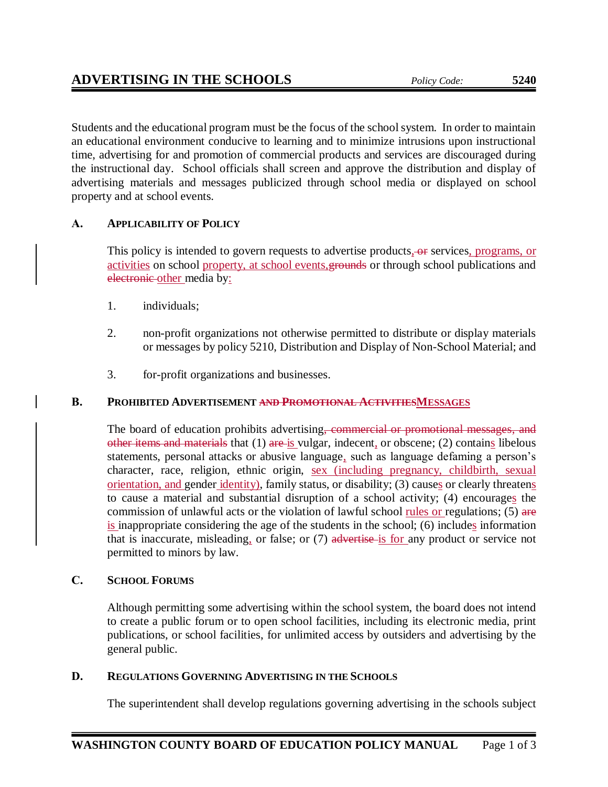Students and the educational program must be the focus of the school system. In order to maintain an educational environment conducive to learning and to minimize intrusions upon instructional time, advertising for and promotion of commercial products and services are discouraged during the instructional day. School officials shall screen and approve the distribution and display of advertising materials and messages publicized through school media or displayed on school property and at school events.

# **A. APPLICABILITY OF POLICY**

This policy is intended to govern requests to advertise products, or services, programs, or activities on school property, at school events, grounds or through school publications and electronic other media by:

- 1. individuals;
- 2. non-profit organizations not otherwise permitted to distribute or display materials or messages by policy 5210, Distribution and Display of Non-School Material; and
- 3. for-profit organizations and businesses.

# **B. PROHIBITED ADVERTISEMENT AND PROMOTIONAL ACTIVITIESMESSAGES**

The board of education prohibits advertising, commercial or promotional messages, and other items and materials that (1) are is vulgar, indecent, or obscene; (2) contains libelous statements, personal attacks or abusive language, such as language defaming a person's character, race, religion, ethnic origin, sex (including pregnancy, childbirth, sexual orientation, and gender identity), family status, or disability; (3) causes or clearly threatens to cause a material and substantial disruption of a school activity; (4) encourages the commission of unlawful acts or the violation of lawful school rules or regulations;  $(5)$  are is inappropriate considering the age of the students in the school; (6) includes information that is inaccurate, misleading, or false; or (7) advertise is for any product or service not permitted to minors by law.

## **C. SCHOOL FORUMS**

Although permitting some advertising within the school system, the board does not intend to create a public forum or to open school facilities, including its electronic media, print publications, or school facilities, for unlimited access by outsiders and advertising by the general public.

## **D. REGULATIONS GOVERNING ADVERTISING IN THE SCHOOLS**

The superintendent shall develop regulations governing advertising in the schools subject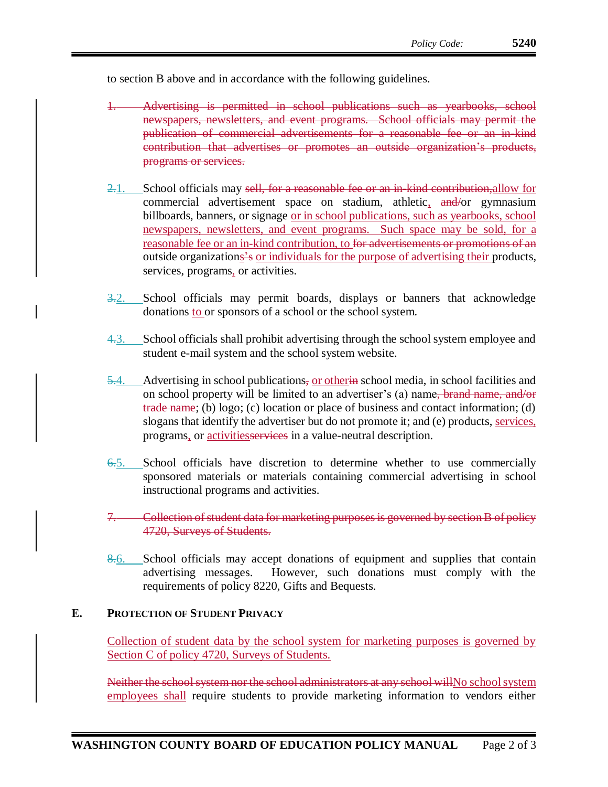to section B above and in accordance with the following guidelines.

- 1. Advertising is permitted in school publications such as yearbooks, school newspapers, newsletters, and event programs. School officials may permit the publication of commercial advertisements for a reasonable fee or an in-kind contribution that advertises or promotes an outside organization's products, programs or services.
- 2.1. School officials may sell, for a reasonable fee or an in-kind contribution, allow for commercial advertisement space on stadium, athletic, and/or gymnasium billboards, banners, or signage <u>or in school publications, such as yearbooks, school</u> newspapers, newsletters, and event programs. Such space may be sold, for a reasonable fee or an in-kind contribution, to for advertisements or promotions of an outside organizations's or individuals for the purpose of advertising their products, services, programs, or activities.
- 3.2. School officials may permit boards, displays or banners that acknowledge donations to or sponsors of a school or the school system.
- 4.3. School officials shall prohibit advertising through the school system employee and student e-mail system and the school system website.
- 5.4. Advertising in school publications, <u>or otherine</u> school media, in school facilities and on school property will be limited to an advertiser's (a) name, brand name, and/or trade name; (b) logo; (c) location or place of business and contact information; (d) slogans that identify the advertiser but do not promote it; and (e) products, services, programs, or activitiesservices in a value-neutral description.
- 6.5. School officials have discretion to determine whether to use commercially sponsored materials or materials containing commercial advertising in school instructional programs and activities.
- 7. Collection of student data for marketing purposes is governed by section B of policy 4720, Surveys of Students.
- 8.6. School officials may accept donations of equipment and supplies that contain advertising messages. However, such donations must comply with the requirements of policy 8220, Gifts and Bequests.

#### **E. PROTECTION OF STUDENT PRIVACY**

Collection of student data by the school system for marketing purposes is governed by Section C of policy 4720, Surveys of Students.

Neither the school system nor the school administrators at any school willNo school system employees shall require students to provide marketing information to vendors either